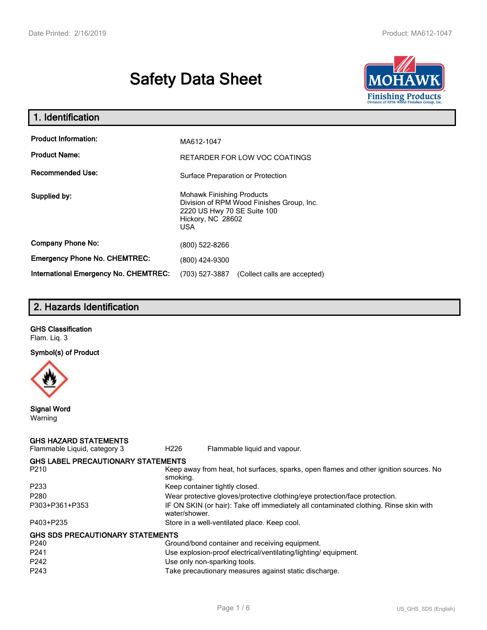# **Safety Data Sheet**



| 1. Identification                                   |                                                                                                                                           |  |  |
|-----------------------------------------------------|-------------------------------------------------------------------------------------------------------------------------------------------|--|--|
| <b>Product Information:</b><br><b>Product Name:</b> | MA612-1047<br>RETARDER FOR LOW VOC COATINGS                                                                                               |  |  |
| <b>Recommended Use:</b>                             | Surface Preparation or Protection                                                                                                         |  |  |
| Supplied by:                                        | <b>Mohawk Finishing Products</b><br>Division of RPM Wood Finishes Group, Inc.<br>2220 US Hwy 70 SE Suite 100<br>Hickory, NC 28602<br>USA. |  |  |
| <b>Company Phone No:</b>                            | (800) 522-8266                                                                                                                            |  |  |
| <b>Emergency Phone No. CHEMTREC:</b>                | (800) 424-9300                                                                                                                            |  |  |
| <b>International Emergency No. CHEMTREC:</b>        | (703) 527-3887<br>(Collect calls are accepted)                                                                                            |  |  |

# **2. Hazards Identification**

**GHS Classification** Flam. Liq. 3

**Symbol(s) of Product**



**Signal Word** Warning

| <b>GHS HAZARD STATEMENTS</b><br>Flammable Liquid, category 3 | H <sub>226</sub> | Flammable liquid and vapour.                                                          |
|--------------------------------------------------------------|------------------|---------------------------------------------------------------------------------------|
| <b>GHS LABEL PRECAUTIONARY STATEMENTS</b>                    |                  |                                                                                       |
| P <sub>210</sub>                                             | smoking.         | Keep away from heat, hot surfaces, sparks, open flames and other ignition sources. No |
| P <sub>233</sub>                                             |                  | Keep container tightly closed.                                                        |
| P <sub>280</sub>                                             |                  | Wear protective gloves/protective clothing/eye protection/face protection.            |
| P303+P361+P353                                               | water/shower.    | IF ON SKIN (or hair): Take off immediately all contaminated clothing. Rinse skin with |
| P403+P235                                                    |                  | Store in a well-ventilated place. Keep cool.                                          |
| <b>GHS SDS PRECAUTIONARY STATEMENTS</b>                      |                  |                                                                                       |
| P <sub>240</sub>                                             |                  | Ground/bond container and receiving equipment.                                        |
| P <sub>241</sub>                                             |                  | Use explosion-proof electrical/ventilating/lighting/equipment.                        |
| P <sub>242</sub>                                             |                  | Use only non-sparking tools.                                                          |
| P <sub>243</sub>                                             |                  | Take precautionary measures against static discharge.                                 |
|                                                              |                  |                                                                                       |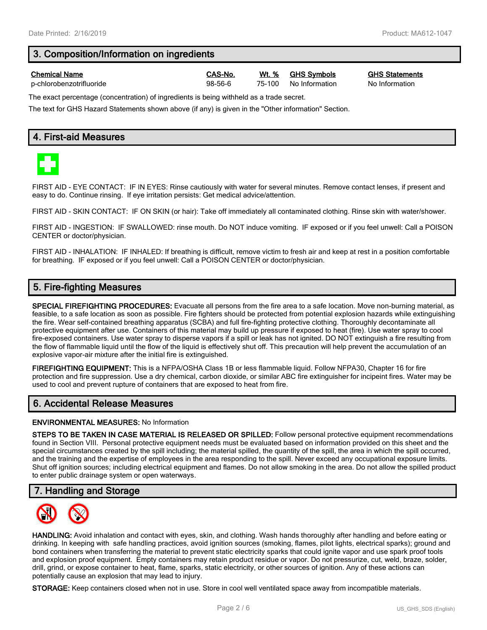# **3. Composition/Information on ingredients**

p-chlorobenzotrifluoride 98-56-6 75-100 No Information No Information

**Chemical Name CAS-No. Wt. % GHS Symbols GHS Statements**

The exact percentage (concentration) of ingredients is being withheld as a trade secret.

The text for GHS Hazard Statements shown above (if any) is given in the "Other information" Section.

### **4. First-aid Measures**



FIRST AID - EYE CONTACT: IF IN EYES: Rinse cautiously with water for several minutes. Remove contact lenses, if present and easy to do. Continue rinsing. If eye irritation persists: Get medical advice/attention.

FIRST AID - SKIN CONTACT: IF ON SKIN (or hair): Take off immediately all contaminated clothing. Rinse skin with water/shower.

FIRST AID - INGESTION: IF SWALLOWED: rinse mouth. Do NOT induce vomiting. IF exposed or if you feel unwell: Call a POISON CENTER or doctor/physician.

FIRST AID - INHALATION: IF INHALED: If breathing is difficult, remove victim to fresh air and keep at rest in a position comfortable for breathing. IF exposed or if you feel unwell: Call a POISON CENTER or doctor/physician.

### **5. Fire-fighting Measures**

**SPECIAL FIREFIGHTING PROCEDURES:** Evacuate all persons from the fire area to a safe location. Move non-burning material, as feasible, to a safe location as soon as possible. Fire fighters should be protected from potential explosion hazards while extinguishing the fire. Wear self-contained breathing apparatus (SCBA) and full fire-fighting protective clothing. Thoroughly decontaminate all protective equipment after use. Containers of this material may build up pressure if exposed to heat (fire). Use water spray to cool fire-exposed containers. Use water spray to disperse vapors if a spill or leak has not ignited. DO NOT extinguish a fire resulting from the flow of flammable liquid until the flow of the liquid is effectively shut off. This precaution will help prevent the accumulation of an explosive vapor-air mixture after the initial fire is extinguished.

**FIREFIGHTING EQUIPMENT:** This is a NFPA/OSHA Class 1B or less flammable liquid. Follow NFPA30, Chapter 16 for fire protection and fire suppression. Use a dry chemical, carbon dioxide, or similar ABC fire extinguisher for incipeint fires. Water may be used to cool and prevent rupture of containers that are exposed to heat from fire.

# **6. Accidental Release Measures**

#### **ENVIRONMENTAL MEASURES:** No Information

**STEPS TO BE TAKEN IN CASE MATERIAL IS RELEASED OR SPILLED:** Follow personal protective equipment recommendations found in Section VIII. Personal protective equipment needs must be evaluated based on information provided on this sheet and the special circumstances created by the spill including; the material spilled, the quantity of the spill, the area in which the spill occurred, and the training and the expertise of employees in the area responding to the spill. Never exceed any occupational exposure limits. Shut off ignition sources; including electrical equipment and flames. Do not allow smoking in the area. Do not allow the spilled product to enter public drainage system or open waterways.

#### **7. Handling and Storage**



**HANDLING:** Avoid inhalation and contact with eyes, skin, and clothing. Wash hands thoroughly after handling and before eating or drinking. In keeping with safe handling practices, avoid ignition sources (smoking, flames, pilot lights, electrical sparks); ground and bond containers when transferring the material to prevent static electricity sparks that could ignite vapor and use spark proof tools and explosion proof equipment. Empty containers may retain product residue or vapor. Do not pressurize, cut, weld, braze, solder, drill, grind, or expose container to heat, flame, sparks, static electricity, or other sources of ignition. Any of these actions can potentially cause an explosion that may lead to injury.

**STORAGE:** Keep containers closed when not in use. Store in cool well ventilated space away from incompatible materials.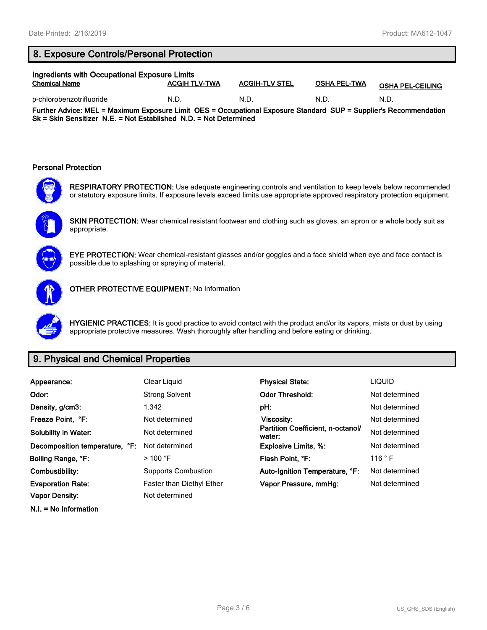# **8. Exposure Controls/Personal Protection**

| Ingredients with Occupational Exposure Limits |                      |                       |                     |                         |  |
|-----------------------------------------------|----------------------|-----------------------|---------------------|-------------------------|--|
| <b>Chemical Name</b>                          | <b>ACGIH TLV-TWA</b> | <b>ACGIH-TLV STEL</b> | <b>OSHA PEL-TWA</b> | <b>OSHA PEL-CEILING</b> |  |
| p-chlorobenzotrifluoride                      | N.D.                 | N.D                   | N.D                 | N.D                     |  |

**Further Advice: MEL = Maximum Exposure Limit OES = Occupational Exposure Standard SUP = Supplier's Recommendation Sk = Skin Sensitizer N.E. = Not Established N.D. = Not Determined**

#### **Personal Protection**



**RESPIRATORY PROTECTION:** Use adequate engineering controls and ventilation to keep levels below recommended or statutory exposure limits. If exposure levels exceed limits use appropriate approved respiratory protection equipment.



**SKIN PROTECTION:** Wear chemical resistant footwear and clothing such as gloves, an apron or a whole body suit as appropriate.



**EYE PROTECTION:** Wear chemical-resistant glasses and/or goggles and a face shield when eye and face contact is possible due to splashing or spraying of material.



**OTHER PROTECTIVE EQUIPMENT:** No Information

**HYGIENIC PRACTICES:** It is good practice to avoid contact with the product and/or its vapors, mists or dust by using appropriate protective measures. Wash thoroughly after handling and before eating or drinking.

# **9. Physical and Chemical Properties**

| Appearance:                    | Clear Liquid                     | <b>Physical State:</b>                      | <b>LIQUID</b>  |
|--------------------------------|----------------------------------|---------------------------------------------|----------------|
| Odor:                          | <b>Strong Solvent</b>            | <b>Odor Threshold:</b>                      | Not determined |
| Density, g/cm3:                | 1.342                            | pH:                                         | Not determined |
| Freeze Point, °F:              | Not determined                   | Viscosity:                                  | Not determined |
| <b>Solubility in Water:</b>    | Not determined                   | Partition Coefficient, n-octanol/<br>water: | Not determined |
| Decomposition temperature, °F: | Not determined                   | <b>Explosive Limits, %:</b>                 | Not determined |
| Boiling Range, °F:             | $>$ 100 °F                       | Flash Point, °F:                            | 116 °F         |
| Combustibility:                | <b>Supports Combustion</b>       | Auto-Ignition Temperature, °F:              | Not determined |
| <b>Evaporation Rate:</b>       | <b>Faster than Diethyl Ether</b> | Vapor Pressure, mmHg:                       | Not determined |
| Vapor Density:                 | Not determined                   |                                             |                |

**N.I. = No Information**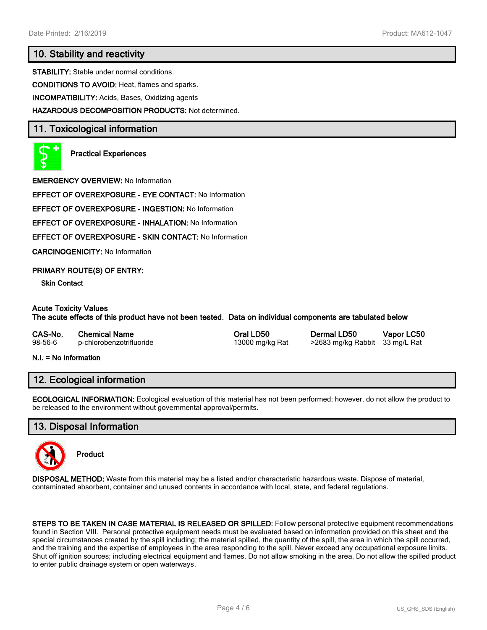# **10. Stability and reactivity**

**STABILITY:** Stable under normal conditions.

**CONDITIONS TO AVOID:** Heat, flames and sparks.

**INCOMPATIBILITY:** Acids, Bases, Oxidizing agents

**HAZARDOUS DECOMPOSITION PRODUCTS:** Not determined.

### **11. Toxicological information**



**Practical Experiences**

**EMERGENCY OVERVIEW:** No Information

**EFFECT OF OVEREXPOSURE - EYE CONTACT:** No Information

**EFFECT OF OVEREXPOSURE - INGESTION:** No Information

**EFFECT OF OVEREXPOSURE - INHALATION:** No Information

**EFFECT OF OVEREXPOSURE - SKIN CONTACT:** No Information

**CARCINOGENICITY:** No Information

#### **PRIMARY ROUTE(S) OF ENTRY:**

**Skin Contact**

#### **Acute Toxicity Values**

**The acute effects of this product have not been tested. Data on individual components are tabulated below**

| CAS-No. | <b>Chemical Name</b>     | Oral LD50       | Dermal LD50                    | Vapor LC50 |
|---------|--------------------------|-----------------|--------------------------------|------------|
| 98-56-6 | p-chlorobenzotrifluoride | 13000 mg/kg Rat | >2683 mg/kg Rabbit 33 mg/L Rat |            |

**N.I. = No Information**

#### **12. Ecological information**

**ECOLOGICAL INFORMATION:** Ecological evaluation of this material has not been performed; however, do not allow the product to be released to the environment without governmental approval/permits.

#### **13. Disposal Information**



**Product**

**DISPOSAL METHOD:** Waste from this material may be a listed and/or characteristic hazardous waste. Dispose of material, contaminated absorbent, container and unused contents in accordance with local, state, and federal regulations.

**STEPS TO BE TAKEN IN CASE MATERIAL IS RELEASED OR SPILLED:** Follow personal protective equipment recommendations found in Section VIII. Personal protective equipment needs must be evaluated based on information provided on this sheet and the special circumstances created by the spill including; the material spilled, the quantity of the spill, the area in which the spill occurred, and the training and the expertise of employees in the area responding to the spill. Never exceed any occupational exposure limits. Shut off ignition sources; including electrical equipment and flames. Do not allow smoking in the area. Do not allow the spilled product to enter public drainage system or open waterways.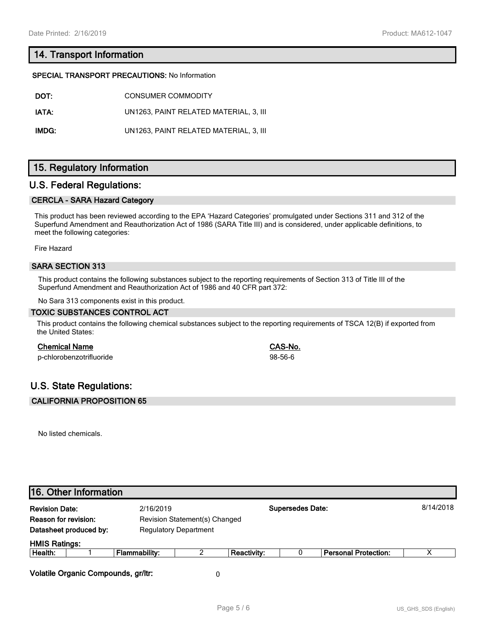# **14. Transport Information**

#### **SPECIAL TRANSPORT PRECAUTIONS:** No Information

| DOT:  | CONSUMER COMMODITY                     |
|-------|----------------------------------------|
| IATA: | UN1263. PAINT RELATED MATERIAL, 3. III |
| IMDG: | UN1263. PAINT RELATED MATERIAL. 3. III |

# **15. Regulatory Information**

### **U.S. Federal Regulations:**

#### **CERCLA - SARA Hazard Category**

This product has been reviewed according to the EPA 'Hazard Categories' promulgated under Sections 311 and 312 of the Superfund Amendment and Reauthorization Act of 1986 (SARA Title III) and is considered, under applicable definitions, to meet the following categories:

Fire Hazard

#### **SARA SECTION 313**

This product contains the following substances subject to the reporting requirements of Section 313 of Title III of the Superfund Amendment and Reauthorization Act of 1986 and 40 CFR part 372:

No Sara 313 components exist in this product.

#### **TOXIC SUBSTANCES CONTROL ACT**

This product contains the following chemical substances subject to the reporting requirements of TSCA 12(B) if exported from the United States:

#### **Chemical Name CAS-No.**

p-chlorobenzotrifluoride 98-56-6

# **U.S. State Regulations:**

#### **CALIFORNIA PROPOSITION 65**

No listed chemicals.

| <b>Revision Date:</b>  | 2/16/2019                     |   |                    | <b>Supersedes Date:</b> |                             | 8/14/2018 |
|------------------------|-------------------------------|---|--------------------|-------------------------|-----------------------------|-----------|
| Reason for revision:   | Revision Statement(s) Changed |   |                    |                         |                             |           |
| Datasheet produced by: | <b>Regulatory Department</b>  |   |                    |                         |                             |           |
| <b>HMIS Ratings:</b>   |                               |   |                    |                         |                             |           |
| Health:                | <b>Flammability:</b>          | 2 | <b>Reactivity:</b> |                         | <b>Personal Protection:</b> | х         |